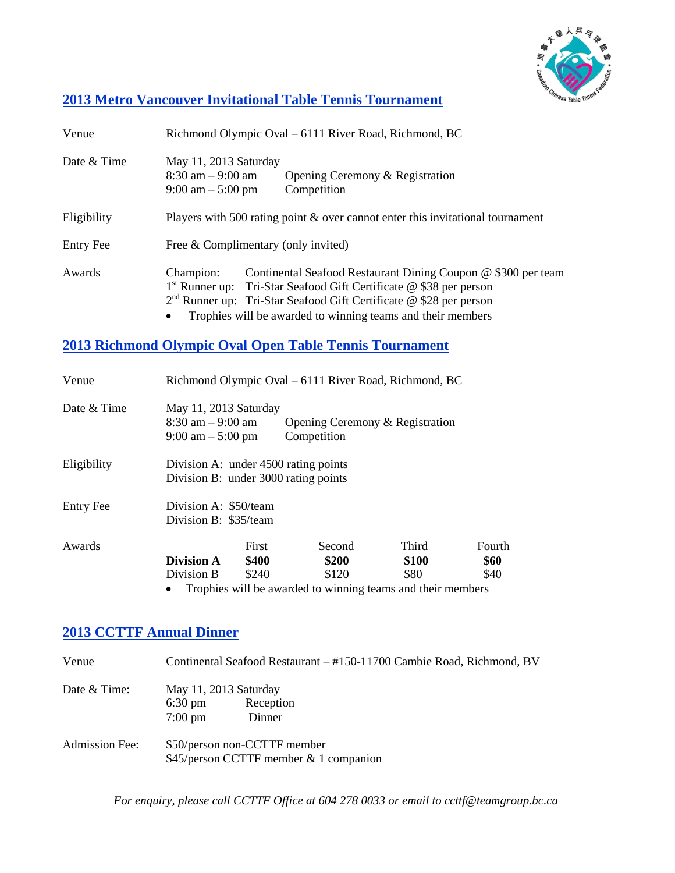

### **2013 Metro Vancouver Invitational Table Tennis Tournament**

| Venue            | Richmond Olympic Oval – 6111 River Road, Richmond, BC                                                                                                                                                                                                                                                  |
|------------------|--------------------------------------------------------------------------------------------------------------------------------------------------------------------------------------------------------------------------------------------------------------------------------------------------------|
| Date & Time      | May 11, 2013 Saturday<br>$8:30$ am $-9:00$ am<br>Opening Ceremony & Registration<br>Competition<br>$9:00 \text{ am} - 5:00 \text{ pm}$                                                                                                                                                                 |
| Eligibility      | Players with 500 rating point & over cannot enter this invitational tournament                                                                                                                                                                                                                         |
| <b>Entry Fee</b> | Free & Complimentary (only invited)                                                                                                                                                                                                                                                                    |
| Awards           | Continental Seafood Restaurant Dining Coupon @ \$300 per team<br>Champion:<br>$1st$ Runner up: Tri-Star Seafood Gift Certificate @ \$38 per person<br>$2nd$ Runner up: Tri-Star Seafood Gift Certificate @ \$28 per person<br>Trophies will be awarded to winning teams and their members<br>$\bullet$ |

#### **2013 Richmond Olympic Oval Open Table Tennis Tournament**

| Venue            | Richmond Olympic Oval – 6111 River Road, Richmond, BC                                |                                                                                         |                        |                        |
|------------------|--------------------------------------------------------------------------------------|-----------------------------------------------------------------------------------------|------------------------|------------------------|
| Date & Time      | May 11, 2013 Saturday<br>$8:30$ am $-9:00$ am<br>$9:00 \text{ am} - 5:00 \text{ pm}$ | Opening Ceremony & Registration<br>Competition                                          |                        |                        |
| Eligibility      | Division A: under 4500 rating points<br>Division B: under 3000 rating points         |                                                                                         |                        |                        |
| <b>Entry Fee</b> | Division A: \$50/team<br>Division B: \$35/team                                       |                                                                                         |                        |                        |
| Awards           | First<br>\$400<br><b>Division A</b><br>Division B<br>\$240                           | Second<br>\$200<br>\$120<br>Trophies will be awarded to winning teams and their members | Third<br>\$100<br>\$80 | Fourth<br>\$60<br>\$40 |

## **2013 CCTTF Annual Dinner**

| Venue                 | Continental Seafood Restaurant – #150-11700 Cambie Road, Richmond, BV                  |
|-----------------------|----------------------------------------------------------------------------------------|
| Date & Time:          | May 11, 2013 Saturday<br>Reception<br>$6:30 \text{ pm}$<br>Dinner<br>$7:00 \text{ pm}$ |
| <b>Admission Fee:</b> | \$50/person non-CCTTF member<br>$$45/person CCTTF member & 1 companion$                |

*For enquiry, please call CCTTF Office at 604 278 0033 or email to ccttf@teamgroup.bc.ca*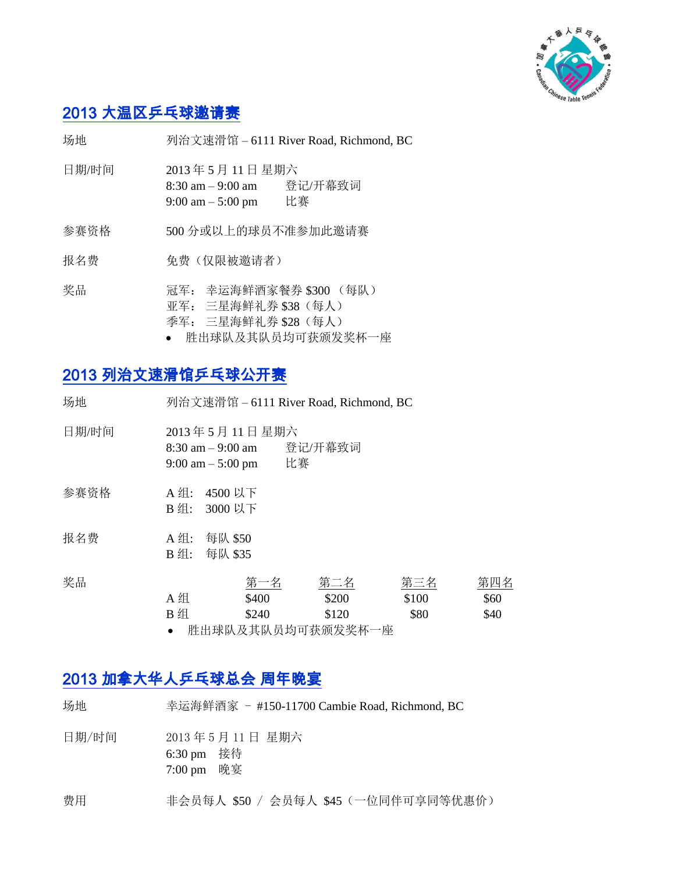

# 2013 大温区乒乓球邀请赛

场地 列治文速滑馆 – 6111 River Road, Richmond, BC

- 日期/时间 2013 年 5 月 11 日 星期六 8:30 am – 9:00 am 登记/开幕致词 9:00 am – 5:00 pm 比赛
- 参赛资格 500 分或以上的球员不准参加此邀请赛
- 报名费 免费(仅限被邀请者)
- 奖品 冠军: 幸运海鲜酒家餐券 \$300 (每队) 亚军: 三星海鲜礼券 \$38(每人) 季军: 三星海鲜礼券 \$28(每人)
	- 胜出球队及其队员均可获颁发奖杯一座

## 2013 列治文速滑馆乒乓球公开赛

| 场地    |                            | 列治文速滑馆 - 6111 River Road, Richmond, BC                                                                       |                                              |                      |                     |
|-------|----------------------------|--------------------------------------------------------------------------------------------------------------|----------------------------------------------|----------------------|---------------------|
| 日期/时间 |                            | 2013年5月11日星期六<br>登记/开幕致词<br>$8:30 \text{ am} - 9:00 \text{ am}$<br>比赛<br>$9:00 \text{ am} - 5:00 \text{ pm}$ |                                              |                      |                     |
| 参赛资格  | A组: 4500 以下<br>B组: 3000 以下 |                                                                                                              |                                              |                      |                     |
| 报名费   | A 组:<br>$B \nsubseteq$ :   | 每队 \$50<br>每队 \$35                                                                                           |                                              |                      |                     |
| 奖品    | A 组<br>B 组                 | 第一名<br>\$400<br>\$240                                                                                        | 第二名<br>\$200<br>\$120<br>脏山武队 私甘队 具拓式朱颂尖波扩三帝 | 第三名<br>\$100<br>\$80 | 第四名<br>\$60<br>\$40 |

肚出球队及共队贝玛可获测及关怀一座

## 2013 加拿大华人乒乓球总会 周年晚宴

| 场地    | 幸运海鲜酒家 - #150-11700 Cambie Road, Richmond, BC        |
|-------|------------------------------------------------------|
| 日期/时间 | 2013年5月11日 星期六<br>6:30 pm 接待<br>$7:00 \text{ pm}$ 晚宴 |
| 费用    | 非会员每人 \$50 / 会员每人 \$45 (一位同伴可享同等优惠价)                 |